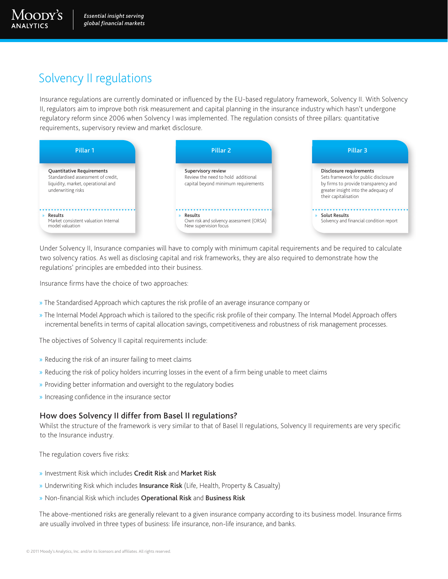Moody's

# Solvency II regulations

Insurance regulations are currently dominated or influenced by the EU-based regulatory framework, Solvency II. With Solvency II, regulators aim to improve both risk measurement and capital planning in the insurance industry which hasn't undergone regulatory reform since 2006 when Solvency I was implemented. The regulation consists of three pillars: quantitative requirements, supervisory review and market disclosure.



Under Solvency II, Insurance companies will have to comply with minimum capital requirements and be required to calculate two solvency ratios. As well as disclosing capital and risk frameworks, they are also required to demonstrate how the regulations' principles are embedded into their business.

Insurance firms have the choice of two approaches:

- » The Standardised Approach which captures the risk profile of an average insurance company or
- » The Internal Model Approach which is tailored to the specific risk profile of their company. The Internal Model Approach offers incremental benefits in terms of capital allocation savings, competitiveness and robustness of risk management processes.

The objectives of Solvency II capital requirements include:

- » Reducing the risk of an insurer failing to meet claims
- » Reducing the risk of policy holders incurring losses in the event of a firm being unable to meet claims
- » Providing better information and oversight to the regulatory bodies
- » Increasing confidence in the insurance sector

### How does Solvency II differ from Basel II regulations?

Whilst the structure of the framework is very similar to that of Basel II regulations, Solvency II requirements are very specific to the Insurance industry.

The regulation covers five risks:

- » Investment Risk which includes Credit Risk and Market Risk
- » Underwriting Risk which includes Insurance Risk (Life, Health, Property & Casualty)
- » Non-financial Risk which includes Operational Risk and Business Risk

The above-mentioned risks are generally relevant to a given insurance company according to its business model. Insurance firms are usually involved in three types of business: life insurance, non-life insurance, and banks.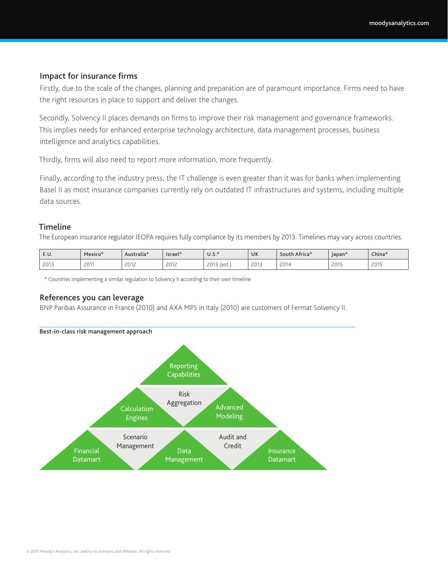#### Impact for insurance firms

Firstly, due to the scale of the changes, planning and preparation are of paramount importance. Firms need to have the right resources in place to support and deliver the changes.

Secondly, Solvency II places demands on firms to improve their risk management and governance frameworks. This implies needs for enhanced enterprise technology architecture, data management processes, business intelligence and analytics capabilities.

Thirdly, firms will also need to report more information, more frequently.

Finally, according to the industry press, the IT challenge is even greater than it was for banks when implementing Basel II as most insurance companies currently rely on outdated IT infrastructures and systems, including multiple data sources.

#### **Timeline**

The European insurance regulator IEOPA requires fully compliance by its members by 2013. Timelines may vary across countries.

| E.U. | Mexico <sup>*</sup> | Australia*                                      | Israel*                                         | U.S.                              | UK            | South Africa*                           | Japan* | China*        |
|------|---------------------|-------------------------------------------------|-------------------------------------------------|-----------------------------------|---------------|-----------------------------------------|--------|---------------|
| 2013 | 2011                | 2012<br>LUIL<br>the contract of the contract of | 2012<br>LUIL<br>the contract of the contract of | 2012<br>۱۵ دا<br>LU.<br>1 し ご し こ | 2012<br>LV I- | 2014<br>the contract of the contract of | 2015   | 2015<br>ZU 13 |

\* Countries implementing a similar regulation to Solvency II according to their own timeline

#### References you can leverage

BNP Paribas Assurance in France (2010) and AXA MPS in Italy (2010) are customers of Fermat Solvency II.

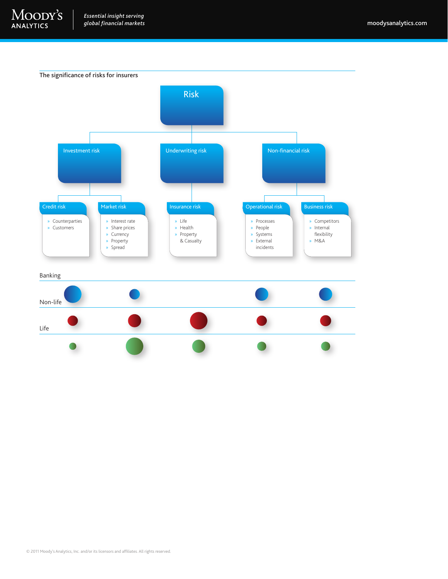